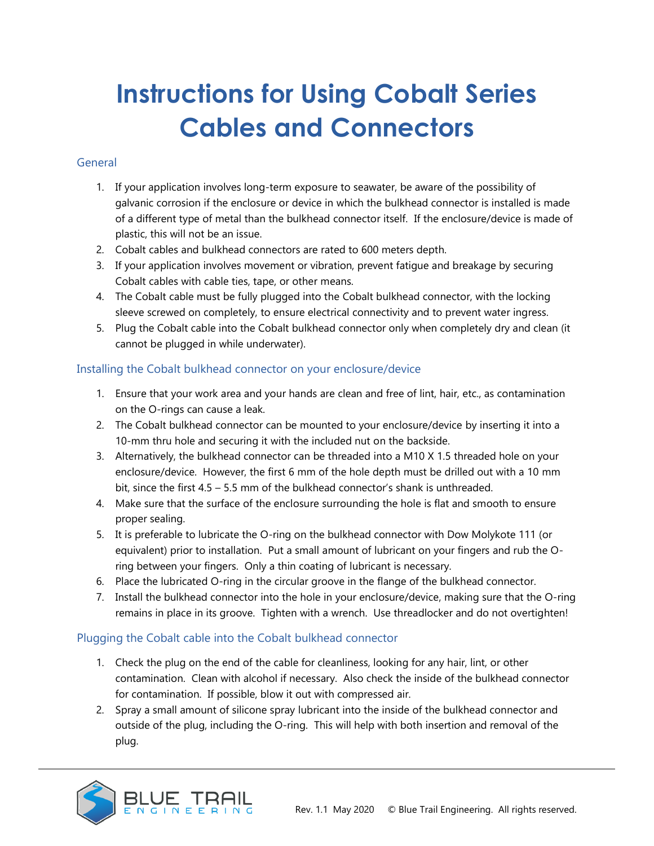# **Instructions for Using Cobalt Series Cables and Connectors**

#### General

- 1. If your application involves long-term exposure to seawater, be aware of the possibility of galvanic corrosion if the enclosure or device in which the bulkhead connector is installed is made of a different type of metal than the bulkhead connector itself. If the enclosure/device is made of plastic, this will not be an issue.
- 2. Cobalt cables and bulkhead connectors are rated to 600 meters depth.
- 3. If your application involves movement or vibration, prevent fatigue and breakage by securing Cobalt cables with cable ties, tape, or other means.
- 4. The Cobalt cable must be fully plugged into the Cobalt bulkhead connector, with the locking sleeve screwed on completely, to ensure electrical connectivity and to prevent water ingress.
- 5. Plug the Cobalt cable into the Cobalt bulkhead connector only when completely dry and clean (it cannot be plugged in while underwater).

## Installing the Cobalt bulkhead connector on your enclosure/device

- 1. Ensure that your work area and your hands are clean and free of lint, hair, etc., as contamination on the O-rings can cause a leak.
- 2. The Cobalt bulkhead connector can be mounted to your enclosure/device by inserting it into a 10-mm thru hole and securing it with the included nut on the backside.
- 3. Alternatively, the bulkhead connector can be threaded into a M10 X 1.5 threaded hole on your enclosure/device. However, the first 6 mm of the hole depth must be drilled out with a 10 mm bit, since the first 4.5 – 5.5 mm of the bulkhead connector's shank is unthreaded.
- 4. Make sure that the surface of the enclosure surrounding the hole is flat and smooth to ensure proper sealing.
- 5. It is preferable to lubricate the O-ring on the bulkhead connector with Dow Molykote 111 (or equivalent) prior to installation. Put a small amount of lubricant on your fingers and rub the Oring between your fingers. Only a thin coating of lubricant is necessary.
- 6. Place the lubricated O-ring in the circular groove in the flange of the bulkhead connector.
- 7. Install the bulkhead connector into the hole in your enclosure/device, making sure that the O-ring remains in place in its groove. Tighten with a wrench. Use threadlocker and do not overtighten!

## Plugging the Cobalt cable into the Cobalt bulkhead connector

- 1. Check the plug on the end of the cable for cleanliness, looking for any hair, lint, or other contamination. Clean with alcohol if necessary. Also check the inside of the bulkhead connector for contamination. If possible, blow it out with compressed air.
- 2. Spray a small amount of silicone spray lubricant into the inside of the bulkhead connector and outside of the plug, including the O-ring. This will help with both insertion and removal of the plug.